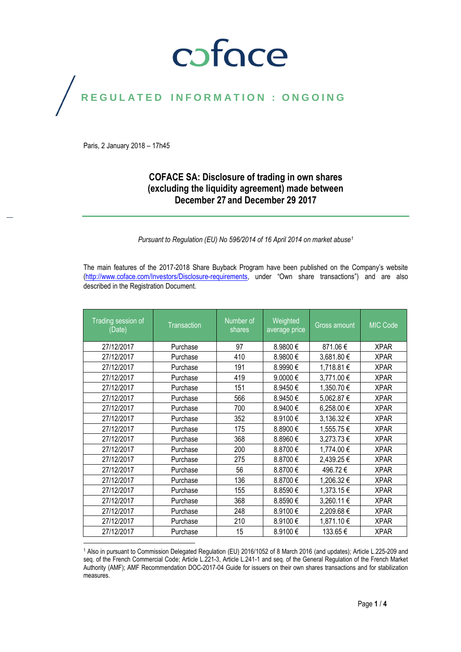# coface

# REGULATED INFORMATION : ONGOING

Paris, 2 January 2018 – 17h45

#### **COFACE SA: Disclosure of trading in own shares (excluding the liquidity agreement) made between December 27 and December 29 2017**

*Pursuant to Regulation (EU) No 596/2014 of 16 April 2014 on market abuse<sup>1</sup>*

The main features of the 2017-2018 Share Buyback Program have been published on the Company's website [\(http://www.coface.com/Investors/Disclosure-requirements](http://www.coface.com/Investors/Disclosure-requirements), under "Own share transactions") and are also described in the Registration Document.

| Trading session of<br>(Date) | <b>Transaction</b> | Number of<br>shares | Weighted<br>average price | <b>Gross amount</b> | <b>MIC Code</b> |
|------------------------------|--------------------|---------------------|---------------------------|---------------------|-----------------|
| 27/12/2017                   | Purchase           | 97                  | 8.9800€                   | 871.06€             | <b>XPAR</b>     |
| 27/12/2017                   | Purchase           | 410                 | 8.9800€                   | 3,681.80 €          | <b>XPAR</b>     |
| 27/12/2017                   | Purchase           | 191                 | 8.9990€                   | 1,718.81 €          | <b>XPAR</b>     |
| 27/12/2017                   | Purchase           | 419                 | 9.0000€                   | 3,771.00 €          | <b>XPAR</b>     |
| 27/12/2017                   | Purchase           | 151                 | 8.9450€                   | 1,350.70 €          | <b>XPAR</b>     |
| 27/12/2017                   | Purchase           | 566                 | 8.9450€                   | 5,062.87€           | <b>XPAR</b>     |
| 27/12/2017                   | Purchase           | 700                 | 8.9400€                   | 6,258.00 €          | <b>XPAR</b>     |
| 27/12/2017                   | Purchase           | 352                 | 8.9100€                   | 3,136.32 €          | <b>XPAR</b>     |
| 27/12/2017                   | Purchase           | 175                 | 8.8900€                   | 1,555.75€           | <b>XPAR</b>     |
| 27/12/2017                   | Purchase           | 368                 | 8.8960€                   | 3,273.73€           | <b>XPAR</b>     |
| 27/12/2017                   | Purchase           | 200                 | 8.8700€                   | 1,774.00 €          | <b>XPAR</b>     |
| 27/12/2017                   | Purchase           | 275                 | 8.8700€                   | 2,439.25 €          | <b>XPAR</b>     |
| 27/12/2017                   | Purchase           | 56                  | 8.8700€                   | 496.72€             | <b>XPAR</b>     |
| 27/12/2017                   | Purchase           | 136                 | 8.8700€                   | 1,206.32 €          | <b>XPAR</b>     |
| 27/12/2017                   | Purchase           | 155                 | 8.8590€                   | 1,373.15€           | <b>XPAR</b>     |
| 27/12/2017                   | Purchase           | 368                 | 8.8590€                   | 3,260.11 €          | <b>XPAR</b>     |
| 27/12/2017                   | Purchase           | 248                 | 8.9100€                   | 2,209.68€           | <b>XPAR</b>     |
| 27/12/2017                   | Purchase           | 210                 | 8.9100€                   | 1,871.10 €          | <b>XPAR</b>     |
| 27/12/2017                   | Purchase           | 15                  | 8.9100€                   | 133.65€             | <b>XPAR</b>     |

 $\overline{a}$ <sup>1</sup> Also in pursuant to Commission Delegated Regulation (EU) 2016/1052 of 8 March 2016 (and updates); Article L.225-209 and seq. of the French Commercial Code; Article L.221-3, Article L.241-1 and seq. of the General Regulation of the French Market Authority (AMF); AMF Recommendation DOC-2017-04 Guide for issuers on their own shares transactions and for stabilization measures.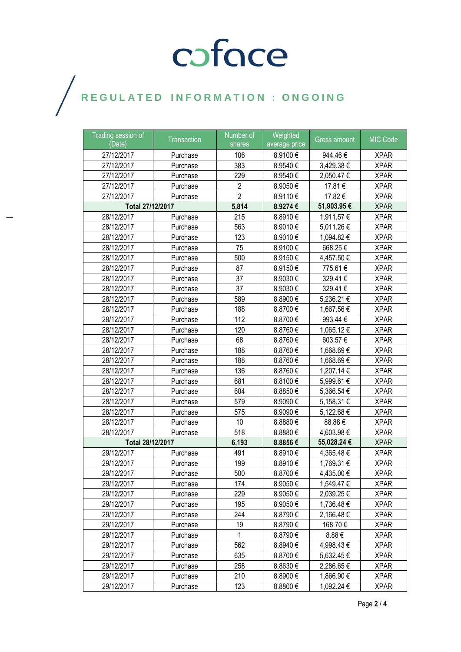# COFOCE

## $\bigg)$

| Trading session of<br>(Date) | Transaction | Number of<br>shares | Weighted<br>average price | <b>Gross amount</b> | <b>MIC Code</b> |
|------------------------------|-------------|---------------------|---------------------------|---------------------|-----------------|
| 27/12/2017                   | Purchase    | 106                 | 8.9100€                   | 944.46€             | <b>XPAR</b>     |
| 27/12/2017                   | Purchase    | 383                 | 8.9540€                   | 3,429.38€           | <b>XPAR</b>     |
| 27/12/2017                   | Purchase    | 229                 | 8.9540€                   | 2,050.47 €          | <b>XPAR</b>     |
| 27/12/2017                   | Purchase    | $\overline{2}$      | 8.9050€                   | 17.81€              | <b>XPAR</b>     |
| 27/12/2017                   | Purchase    | $\overline{2}$      | 8.9110€                   | 17.82€              | <b>XPAR</b>     |
| Total 27/12/2017             |             | 5,814               | 8.9274€                   | 51,903.95€          | <b>XPAR</b>     |
| 28/12/2017                   | Purchase    | 215                 | 8.8910€                   | 1,911.57 €          | <b>XPAR</b>     |
| 28/12/2017                   | Purchase    | 563                 | 8.9010€                   | 5,011.26€           | <b>XPAR</b>     |
| 28/12/2017                   | Purchase    | 123                 | 8.9010€                   | 1,094.82 €          | <b>XPAR</b>     |
| 28/12/2017                   | Purchase    | 75                  | 8.9100€                   | 668.25€             | <b>XPAR</b>     |
| 28/12/2017                   | Purchase    | 500                 | 8.9150€                   | 4,457.50 €          | <b>XPAR</b>     |
| 28/12/2017                   | Purchase    | 87                  | 8.9150€                   | 775.61€             | <b>XPAR</b>     |
| 28/12/2017                   | Purchase    | 37                  | 8.9030€                   | 329.41€             | <b>XPAR</b>     |
| 28/12/2017                   | Purchase    | 37                  | 8.9030€                   | 329.41€             | <b>XPAR</b>     |
| 28/12/2017                   | Purchase    | 589                 | 8.8900€                   | 5,236.21 €          | <b>XPAR</b>     |
| 28/12/2017                   | Purchase    | 188                 | 8.8700€                   | 1,667.56 €          | <b>XPAR</b>     |
| 28/12/2017                   | Purchase    | 112                 | 8.8700€                   | 993.44 €            | <b>XPAR</b>     |
| 28/12/2017                   | Purchase    | 120                 | 8.8760€                   | 1,065.12 €          | <b>XPAR</b>     |
| 28/12/2017                   | Purchase    | 68                  | 8.8760€                   | 603.57€             | <b>XPAR</b>     |
| 28/12/2017                   | Purchase    | 188                 | 8.8760€                   | 1,668.69€           | <b>XPAR</b>     |
| 28/12/2017                   | Purchase    | 188                 | 8.8760€                   | 1,668.69€           | <b>XPAR</b>     |
| 28/12/2017                   | Purchase    | 136                 | 8.8760€                   | 1,207.14 €          | <b>XPAR</b>     |
| 28/12/2017                   | Purchase    | 681                 | 8.8100€                   | 5,999.61 €          | <b>XPAR</b>     |
| 28/12/2017                   | Purchase    | 604                 | 8.8850€                   | 5,366.54 €          | <b>XPAR</b>     |
| 28/12/2017                   | Purchase    | 579                 | 8.9090€                   | 5,158.31 €          | <b>XPAR</b>     |
| 28/12/2017                   | Purchase    | 575                 | 8.9090€                   | 5,122.68 €          | <b>XPAR</b>     |
| 28/12/2017                   | Purchase    | 10                  | 8.8880€                   | 88.88€              | <b>XPAR</b>     |
| 28/12/2017                   | Purchase    | 518                 | 8.8880€                   | 4,603.98 €          | <b>XPAR</b>     |
| Total 28/12/2017             |             | 6,193               | 8.8856€                   | 55,028.24€          | <b>XPAR</b>     |
| 29/12/2017                   | Purchase    | 491                 | 8.8910€                   | 4,365.48 €          | <b>XPAR</b>     |
| 29/12/2017                   | Purchase    | 199                 | 8.8910€                   | 1,769.31 €          | <b>XPAR</b>     |
| 29/12/2017                   | Purchase    | 500                 | 8.8700€                   | 4,435.00 €          | <b>XPAR</b>     |
| 29/12/2017                   | Purchase    | 174                 | 8.9050€                   | 1,549.47 €          | <b>XPAR</b>     |
| 29/12/2017                   | Purchase    | 229                 | 8.9050€                   | 2,039.25 €          | <b>XPAR</b>     |
| 29/12/2017                   | Purchase    | 195                 | 8.9050€                   | 1,736.48 €          | <b>XPAR</b>     |
| 29/12/2017                   | Purchase    | 244                 | 8.8790€                   | 2,166.48 €          | <b>XPAR</b>     |
| 29/12/2017                   | Purchase    | 19                  | 8.8790€                   | 168.70€             | <b>XPAR</b>     |
| 29/12/2017                   | Purchase    | 1                   | 8.8790€                   | 8.88€               | <b>XPAR</b>     |
| 29/12/2017                   | Purchase    | 562                 | 8.8940€                   | 4,998.43 €          | <b>XPAR</b>     |
| 29/12/2017                   | Purchase    | 635                 | 8.8700€                   | 5,632.45 €          | <b>XPAR</b>     |
| 29/12/2017                   | Purchase    | 258                 | 8.8630€                   | 2,286.65 €          | <b>XPAR</b>     |
| 29/12/2017                   | Purchase    | 210                 | 8.8900€                   | 1,866.90 €          | <b>XPAR</b>     |
| 29/12/2017                   | Purchase    | 123                 | 8.8800€                   | 1,092.24 €          | <b>XPAR</b>     |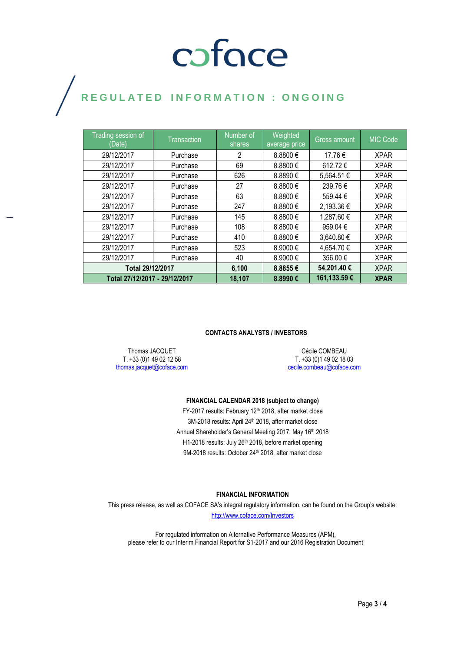# coface

## REGULATED INFORMATION : ONGOING

| Trading session of<br>(Date)  | <b>Transaction</b> | Number of<br>shares | Weighted<br>average price | <b>Gross amount</b> | <b>MIC Code</b> |
|-------------------------------|--------------------|---------------------|---------------------------|---------------------|-----------------|
| 29/12/2017                    | Purchase           | 2                   | 8.8800€                   | 17.76€              | <b>XPAR</b>     |
| 29/12/2017                    | Purchase           | 69                  | 8.8800€                   | 612.72€             | <b>XPAR</b>     |
| 29/12/2017                    | Purchase           | 626                 | 8.8890€                   | 5,564.51 €          | <b>XPAR</b>     |
| 29/12/2017                    | Purchase           | 27                  | 8.8800€                   | 239.76€             | <b>XPAR</b>     |
| 29/12/2017                    | Purchase           | 63                  | 8.8800€                   | 559.44 €            | <b>XPAR</b>     |
| 29/12/2017                    | Purchase           | 247                 | 8.8800€                   | 2,193.36 €          | <b>XPAR</b>     |
| 29/12/2017                    | Purchase           | 145                 | 8.8800€                   | 1,287.60 €          | <b>XPAR</b>     |
| 29/12/2017                    | Purchase           | 108                 | 8.8800€                   | 959.04€             | <b>XPAR</b>     |
| 29/12/2017                    | Purchase           | 410                 | 8.8800€                   | 3,640.80 €          | <b>XPAR</b>     |
| 29/12/2017                    | Purchase           | 523                 | 8.9000 €                  | 4,654.70 €          | <b>XPAR</b>     |
| 29/12/2017                    | Purchase           | 40                  | 8.9000€                   | 356.00 €            | <b>XPAR</b>     |
| Total 29/12/2017              |                    | 6,100               | 8.8855€                   | 54,201.40€          | <b>XPAR</b>     |
| Total 27/12/2017 - 29/12/2017 |                    | 18,107              | 8.8990€                   | 161,133.59€         | <b>XPAR</b>     |

#### **CONTACTS ANALYSTS / INVESTORS**

Thomas JACQUET T. +33 (0)1 49 02 12 58 [thomas.jacquet@coface.com](mailto:thomas.jacquet@coface.com)

Cécile COMBEAU T. +33 (0)1 49 02 18 03 [cecile.combeau@coface.com](mailto:cecile.combeau@coface.com)

#### **FINANCIAL CALENDAR 2018 (subject to change)**

FY-2017 results: February 12<sup>th</sup> 2018, after market close 3M-2018 results: April 24<sup>th</sup> 2018, after market close Annual Shareholder's General Meeting 2017: May 16th 2018 H1-2018 results: July 26th 2018, before market opening 9M-2018 results: October 24<sup>th</sup> 2018, after market close

#### **FINANCIAL INFORMATION**

This press release, as well as COFACE SA's integral regulatory information, can be found on the Group's website: <http://www.coface.com/Investors>

For regulated information on Alternative Performance Measures (APM), please refer to our Interim Financial Report for S1-2017 and our 2016 Registration Document